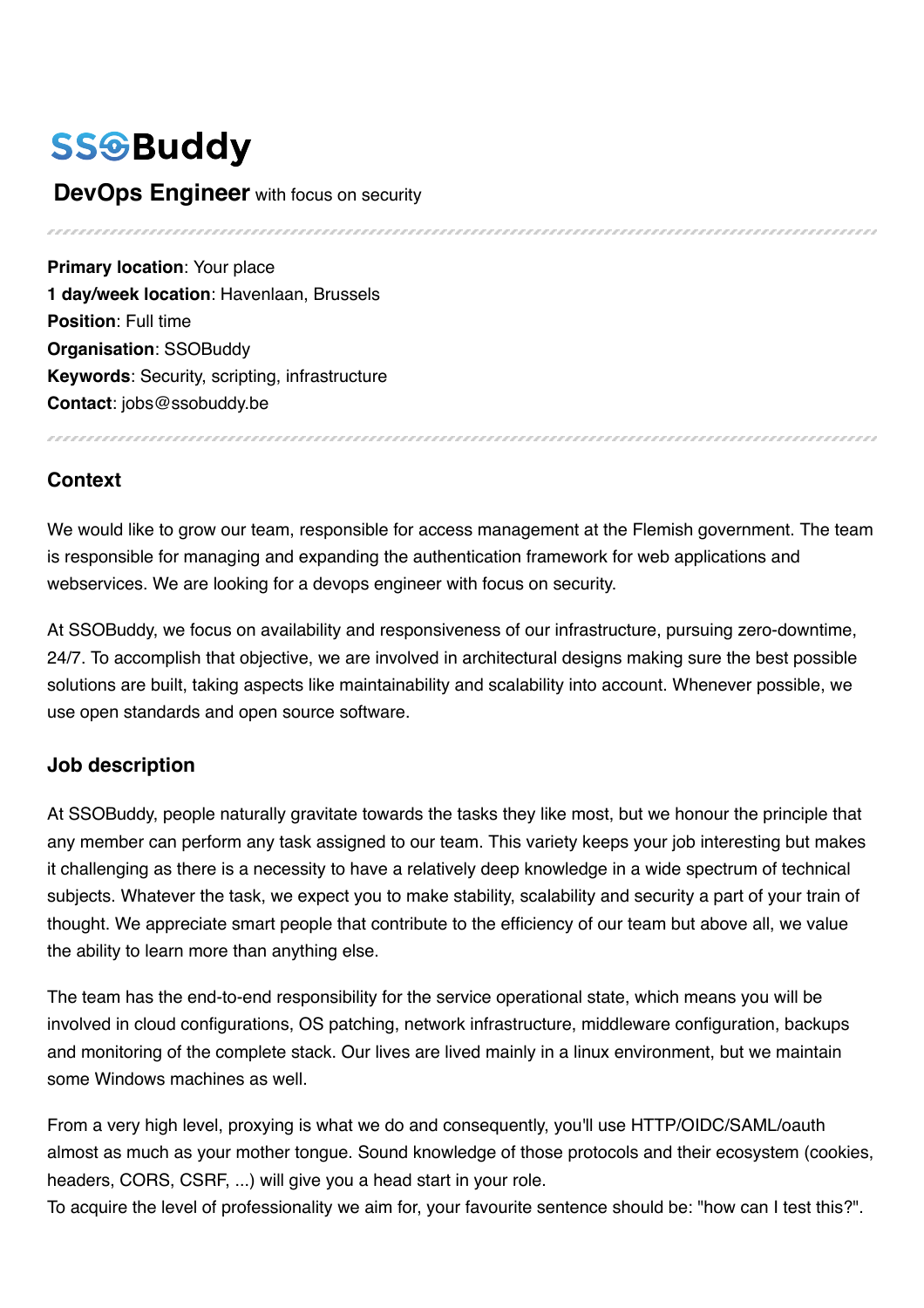# **SSGBuddy**

#### **DevOps Engineer** with focus on security

**Primary location: Your place 1 day/week location**: Havenlaan, Brussels **Position**: Full time **Organisation**: SSOBuddy **Keywords**: Security, scripting, infrastructure **Contact**: jobs@ssobuddy.be

### **Context**

We would like to grow our team, responsible for access management at the Flemish government. The team is responsible for managing and expanding the authentication framework for web applications and webservices. We are looking for a devops engineer with focus on security.

At SSOBuddy, we focus on availability and responsiveness of our infrastructure, pursuing zero-downtime, 24/7. To accomplish that objective, we are involved in architectural designs making sure the best possible solutions are built, taking aspects like maintainability and scalability into account. Whenever possible, we use open standards and open source software.

### **Job description**

At SSOBuddy, people naturally gravitate towards the tasks they like most, but we honour the principle that any member can perform any task assigned to our team. This variety keeps your job interesting but makes it challenging as there is a necessity to have a relatively deep knowledge in a wide spectrum of technical subjects. Whatever the task, we expect you to make stability, scalability and security a part of your train of thought. We appreciate smart people that contribute to the efficiency of our team but above all, we value the ability to learn more than anything else.

The team has the end-to-end responsibility for the service operational state, which means you will be involved in cloud configurations, OS patching, network infrastructure, middleware configuration, backups and monitoring of the complete stack. Our lives are lived mainly in a linux environment, but we maintain some Windows machines as well.

From a very high level, proxying is what we do and consequently, you'll use HTTP/OIDC/SAML/oauth almost as much as your mother tongue. Sound knowledge of those protocols and their ecosystem (cookies, headers, CORS, CSRF, ...) will give you a head start in your role.

To acquire the level of professionality we aim for, your favourite sentence should be: "how can I test this?".